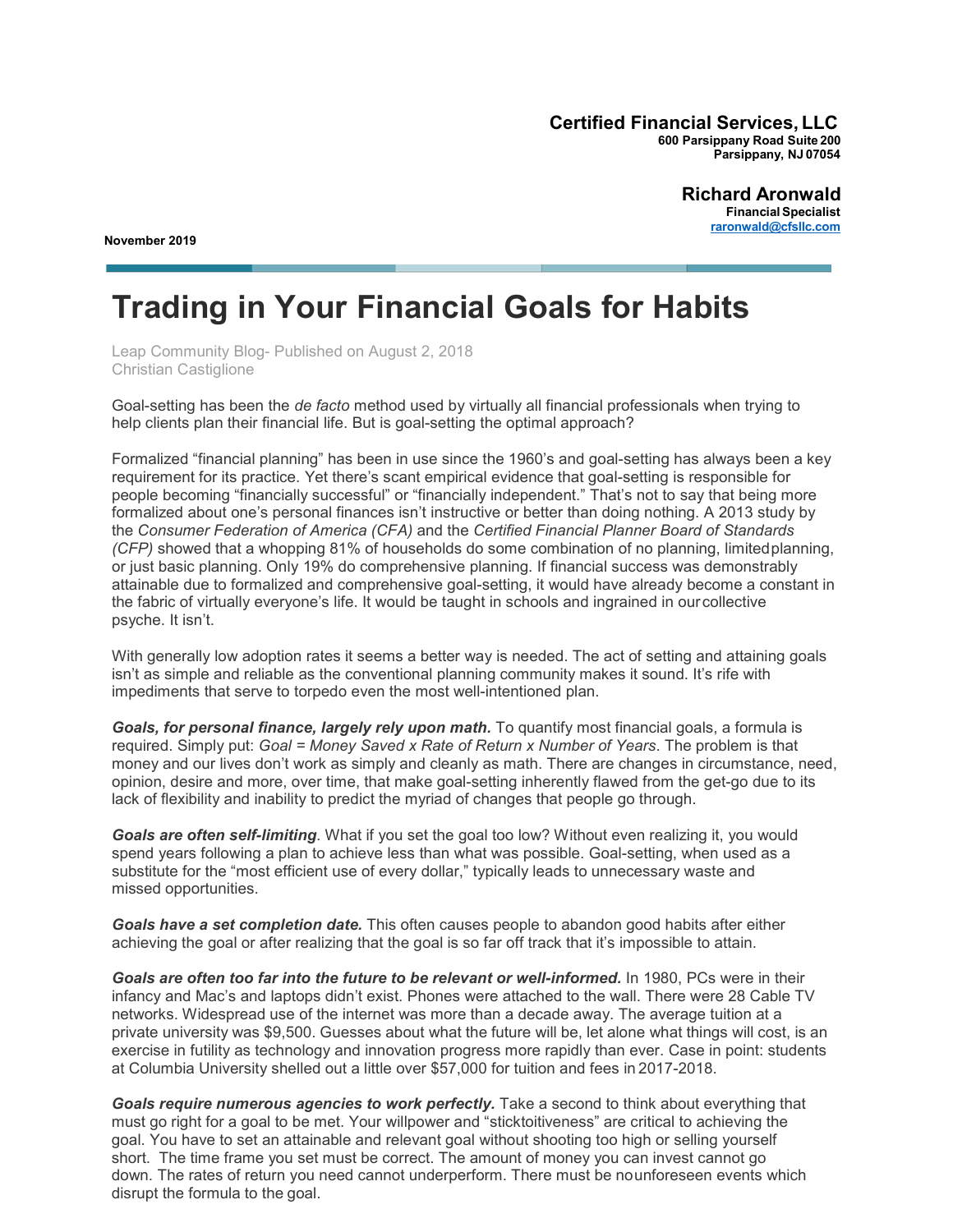**Certified Financial Services, LLC 600 Parsippany Road Suite 200 Parsippany, NJ 07054**

**November 2019**

**Richard Aronwald FinancialSpecialist [raronwald@cfsllc.com](mailto:raronwald@cfsllc.com)**

## **Trading in Your Financial Goals for Habits**

Leap Community Blog- Published on August 2, 2018 Christian Castiglione

Goal-setting has been the *de facto* method used by virtually all financial professionals when trying to help clients plan their financial life. But is goal-setting the optimal approach?

Formalized "financial planning" has been in use since the 1960's and goal-setting has always been a key requirement for its practice. Yet there's scant empirical evidence that goal-setting is responsible for people becoming "financially successful" or "financially independent." That's not to say that being more formalized about one's personal finances isn't instructive or better than doing nothing. A 2013 study by the *Consumer Federation of America (CFA)* and the *Certified Financial Planner Board of Standards (CFP)* showed that a whopping 81% of households do some combination of no planning, limitedplanning, or just basic planning. Only 19% do comprehensive planning. If financial success was demonstrably attainable due to formalized and comprehensive goal-setting, it would have already become a constant in the fabric of virtually everyone's life. It would be taught in schools and ingrained in ourcollective psyche. It isn't.

With generally low adoption rates it seems a better way is needed. The act of setting and attaining goals isn't as simple and reliable as the conventional planning community makes it sound. It's rife with impediments that serve to torpedo even the most well-intentioned plan.

*Goals, for personal finance, largely rely upon math.* To quantify most financial goals, a formula is required. Simply put: *Goal = Money Saved x Rate of Return x Number of Years*. The problem is that money and our lives don't work as simply and cleanly as math. There are changes in circumstance, need, opinion, desire and more, over time, that make goal-setting inherently flawed from the get-go due to its lack of flexibility and inability to predict the myriad of changes that people go through.

*Goals are often self-limiting.* What if you set the goal too low? Without even realizing it, you would spend years following a plan to achieve less than what was possible. Goal-setting, when used as a substitute for the "most efficient use of every dollar," typically leads to unnecessary waste and missed opportunities.

*Goals have a set completion date.* This often causes people to abandon good habits after either achieving the goal or after realizing that the goal is so far off track that it's impossible to attain.

Goals are often too far into the future to be relevant or well-informed. In 1980, PCs were in their infancy and Mac's and laptops didn't exist. Phones were attached to the wall. There were 28 Cable TV networks. Widespread use of the internet was more than a decade away. The average tuition at a private university was \$9,500. Guesses about what the future will be, let alone what things will cost, is an exercise in futility as technology and innovation progress more rapidly than ever. Case in point: students at Columbia University shelled out a little over \$57,000 for tuition and fees in 2017-2018.

*Goals require numerous agencies to work perfectly.* Take a second to think about everything that must go right for a goal to be met. Your willpower and "sticktoitiveness" are critical to achieving the goal. You have to set an attainable and relevant goal without shooting too high or selling yourself short. The time frame you set must be correct. The amount of money you can invest cannot go down. The rates of return you need cannot underperform. There must be nounforeseen events which disrupt the formula to the goal.